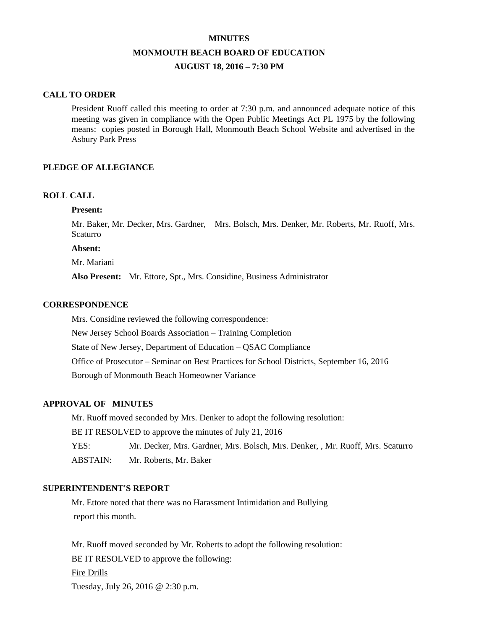# **MINUTES MONMOUTH BEACH BOARD OF EDUCATION AUGUST 18, 2016 – 7:30 PM**

#### **CALL TO ORDER**

President Ruoff called this meeting to order at 7:30 p.m. and announced adequate notice of this meeting was given in compliance with the Open Public Meetings Act PL 1975 by the following means: copies posted in Borough Hall, Monmouth Beach School Website and advertised in the Asbury Park Press

## **PLEDGE OF ALLEGIANCE**

#### **ROLL CALL**

#### **Present:**

Mr. Baker, Mr. Decker, Mrs. Gardner, Mrs. Bolsch, Mrs. Denker, Mr. Roberts, Mr. Ruoff, Mrs. Scaturro

**Absent:**

Mr. Mariani

**Also Present:** Mr. Ettore, Spt., Mrs. Considine, Business Administrator

#### **CORRESPONDENCE**

Mrs. Considine reviewed the following correspondence: New Jersey School Boards Association – Training Completion State of New Jersey, Department of Education – QSAC Compliance Office of Prosecutor – Seminar on Best Practices for School Districts, September 16, 2016 Borough of Monmouth Beach Homeowner Variance

# **APPROVAL OF MINUTES**

Mr. Ruoff moved seconded by Mrs. Denker to adopt the following resolution: BE IT RESOLVED to approve the minutes of July 21, 2016 YES: Mr. Decker, Mrs. Gardner, Mrs. Bolsch, Mrs. Denker, , Mr. Ruoff, Mrs. Scaturro ABSTAIN: Mr. Roberts, Mr. Baker

## **SUPERINTENDENT'S REPORT**

Mr. Ettore noted that there was no Harassment Intimidation and Bullying report this month.

Mr. Ruoff moved seconded by Mr. Roberts to adopt the following resolution: BE IT RESOLVED to approve the following: Fire Drills Tuesday, July 26, 2016 @ 2:30 p.m.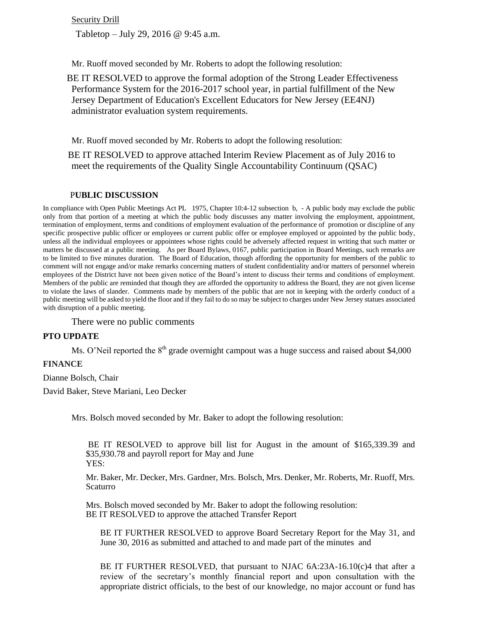**Security Drill** 

Tabletop – July 29, 2016 @ 9:45 a.m.

Mr. Ruoff moved seconded by Mr. Roberts to adopt the following resolution:

 BE IT RESOLVED to approve the formal adoption of the Strong Leader Effectiveness Performance System for the 2016-2017 school year, in partial fulfillment of the New Jersey Department of Education's Excellent Educators for New Jersey (EE4NJ) administrator evaluation system requirements.

Mr. Ruoff moved seconded by Mr. Roberts to adopt the following resolution:

BE IT RESOLVED to approve attached Interim Review Placement as of July 2016 to meet the requirements of the Quality Single Accountability Continuum (QSAC)

#### P**UBLIC DISCUSSION**

In compliance with Open Public Meetings Act PL 1975, Chapter 10:4-12 subsection b, - A public body may exclude the public only from that portion of a meeting at which the public body discusses any matter involving the employment, appointment, termination of employment, terms and conditions of employment evaluation of the performance of promotion or discipline of any specific prospective public officer or employees or current public offer or employee employed or appointed by the public body, unless all the individual employees or appointees whose rights could be adversely affected request in writing that such matter or matters be discussed at a public meeting. As per Board Bylaws, 0167, public participation in Board Meetings, such remarks are to be limited to five minutes duration. The Board of Education, though affording the opportunity for members of the public to comment will not engage and/or make remarks concerning matters of student confidentiality and/or matters of personnel wherein employees of the District have not been given notice of the Board's intent to discuss their terms and conditions of employment. Members of the public are reminded that though they are afforded the opportunity to address the Board, they are not given license to violate the laws of slander. Comments made by members of the public that are not in keeping with the orderly conduct of a public meeting will be asked to yield the floor and if they fail to do so may be subject to charges under New Jersey statues associated with disruption of a public meeting.

There were no public comments

# **PTO UPDATE**

Ms. O'Neil reported the  $8<sup>th</sup>$  grade overnight campout was a huge success and raised about \$4,000

#### **FINANCE**

Dianne Bolsch, Chair

David Baker, Steve Mariani, Leo Decker

Mrs. Bolsch moved seconded by Mr. Baker to adopt the following resolution:

BE IT RESOLVED to approve bill list for August in the amount of \$165,339.39 and \$35,930.78 and payroll report for May and June YES:

Mr. Baker, Mr. Decker, Mrs. Gardner, Mrs. Bolsch, Mrs. Denker, Mr. Roberts, Mr. Ruoff, Mrs. Scaturro

Mrs. Bolsch moved seconded by Mr. Baker to adopt the following resolution: BE IT RESOLVED to approve the attached Transfer Report

BE IT FURTHER RESOLVED to approve Board Secretary Report for the May 31, and June 30, 2016 as submitted and attached to and made part of the minutes and

BE IT FURTHER RESOLVED, that pursuant to NJAC 6A:23A-16.10(c)4 that after a review of the secretary's monthly financial report and upon consultation with the appropriate district officials, to the best of our knowledge, no major account or fund has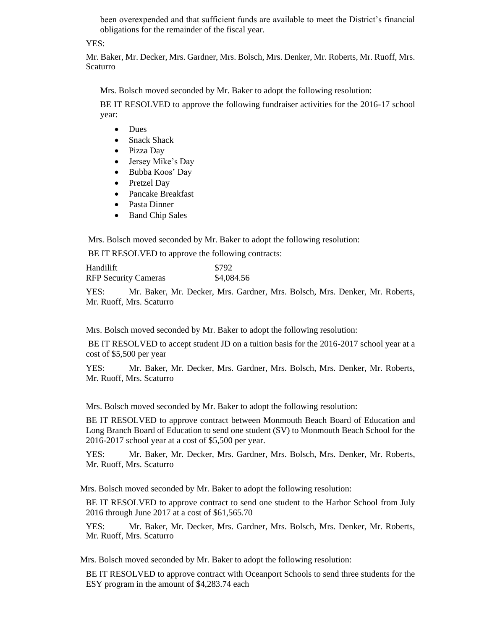been overexpended and that sufficient funds are available to meet the District's financial obligations for the remainder of the fiscal year.

# YES:

Mr. Baker, Mr. Decker, Mrs. Gardner, Mrs. Bolsch, Mrs. Denker, Mr. Roberts, Mr. Ruoff, Mrs. Scaturro

Mrs. Bolsch moved seconded by Mr. Baker to adopt the following resolution:

BE IT RESOLVED to approve the following fundraiser activities for the 2016-17 school year:

- Dues
- Snack Shack
- Pizza Day
- Jersey Mike's Day
- Bubba Koos' Day
- Pretzel Day
- Pancake Breakfast
- Pasta Dinner
- Band Chip Sales

Mrs. Bolsch moved seconded by Mr. Baker to adopt the following resolution:

BE IT RESOLVED to approve the following contracts:

| Handilift                   | \$792      |
|-----------------------------|------------|
| <b>RFP Security Cameras</b> | \$4,084.56 |

YES: Mr. Baker, Mr. Decker, Mrs. Gardner, Mrs. Bolsch, Mrs. Denker, Mr. Roberts, Mr. Ruoff, Mrs. Scaturro

Mrs. Bolsch moved seconded by Mr. Baker to adopt the following resolution:

BE IT RESOLVED to accept student JD on a tuition basis for the 2016-2017 school year at a cost of \$5,500 per year

YES: Mr. Baker, Mr. Decker, Mrs. Gardner, Mrs. Bolsch, Mrs. Denker, Mr. Roberts, Mr. Ruoff, Mrs. Scaturro

Mrs. Bolsch moved seconded by Mr. Baker to adopt the following resolution:

BE IT RESOLVED to approve contract between Monmouth Beach Board of Education and Long Branch Board of Education to send one student (SV) to Monmouth Beach School for the 2016-2017 school year at a cost of \$5,500 per year.

YES: Mr. Baker, Mr. Decker, Mrs. Gardner, Mrs. Bolsch, Mrs. Denker, Mr. Roberts, Mr. Ruoff, Mrs. Scaturro

Mrs. Bolsch moved seconded by Mr. Baker to adopt the following resolution:

BE IT RESOLVED to approve contract to send one student to the Harbor School from July 2016 through June 2017 at a cost of \$61,565.70

YES: Mr. Baker, Mr. Decker, Mrs. Gardner, Mrs. Bolsch, Mrs. Denker, Mr. Roberts, Mr. Ruoff, Mrs. Scaturro

Mrs. Bolsch moved seconded by Mr. Baker to adopt the following resolution:

BE IT RESOLVED to approve contract with Oceanport Schools to send three students for the ESY program in the amount of \$4,283.74 each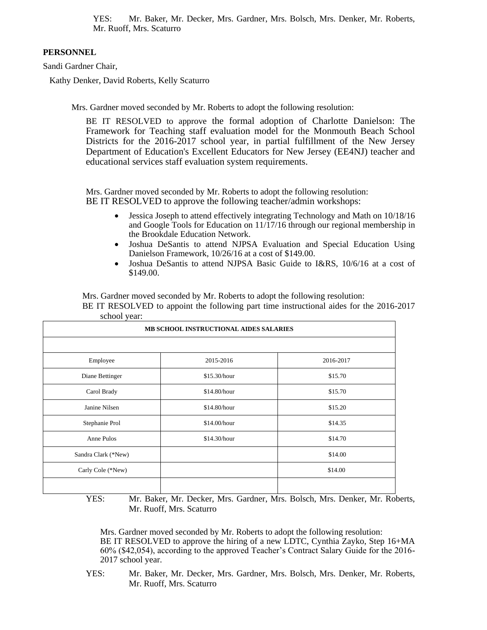YES: Mr. Baker, Mr. Decker, Mrs. Gardner, Mrs. Bolsch, Mrs. Denker, Mr. Roberts, Mr. Ruoff, Mrs. Scaturro

# **PERSONNEL**

Sandi Gardner Chair,

Kathy Denker, David Roberts, Kelly Scaturro

Mrs. Gardner moved seconded by Mr. Roberts to adopt the following resolution:

BE IT RESOLVED to approve the formal adoption of Charlotte Danielson: The Framework for Teaching staff evaluation model for the Monmouth Beach School Districts for the 2016-2017 school year, in partial fulfillment of the New Jersey Department of Education's Excellent Educators for New Jersey (EE4NJ) teacher and educational services staff evaluation system requirements.

Mrs. Gardner moved seconded by Mr. Roberts to adopt the following resolution: BE IT RESOLVED to approve the following teacher/admin workshops:

- Jessica Joseph to attend effectively integrating Technology and Math on 10/18/16 and Google Tools for Education on 11/17/16 through our regional membership in the Brookdale Education Network.
- Joshua DeSantis to attend NJPSA Evaluation and Special Education Using Danielson Framework, 10/26/16 at a cost of \$149.00.
- Joshua DeSantis to attend NJPSA Basic Guide to I&RS, 10/6/16 at a cost of \$149.00.

Mrs. Gardner moved seconded by Mr. Roberts to adopt the following resolution:

BE IT RESOLVED to appoint the following part time instructional aides for the 2016-2017 school year:

| school year.                                  |              |           |
|-----------------------------------------------|--------------|-----------|
| <b>MB SCHOOL INSTRUCTIONAL AIDES SALARIES</b> |              |           |
|                                               |              |           |
| Employee                                      | 2015-2016    | 2016-2017 |
| Diane Bettinger                               | \$15.30/hour | \$15.70   |
| Carol Brady                                   | \$14.80/hour | \$15.70   |
| Janine Nilsen                                 | \$14.80/hour | \$15.20   |
| Stephanie Prol                                | \$14.00/hour | \$14.35   |
| Anne Pulos                                    | \$14.30/hour | \$14.70   |
| Sandra Clark (*New)                           |              | \$14.00   |
| Carly Cole (*New)                             |              | \$14.00   |
|                                               |              |           |

YES: Mr. Baker, Mr. Decker, Mrs. Gardner, Mrs. Bolsch, Mrs. Denker, Mr. Roberts, Mr. Ruoff, Mrs. Scaturro

Mrs. Gardner moved seconded by Mr. Roberts to adopt the following resolution: BE IT RESOLVED to approve the hiring of a new LDTC, Cynthia Zayko, Step 16+MA 60% (\$42,054), according to the approved Teacher's Contract Salary Guide for the 2016- 2017 school year.

YES: Mr. Baker, Mr. Decker, Mrs. Gardner, Mrs. Bolsch, Mrs. Denker, Mr. Roberts, Mr. Ruoff, Mrs. Scaturro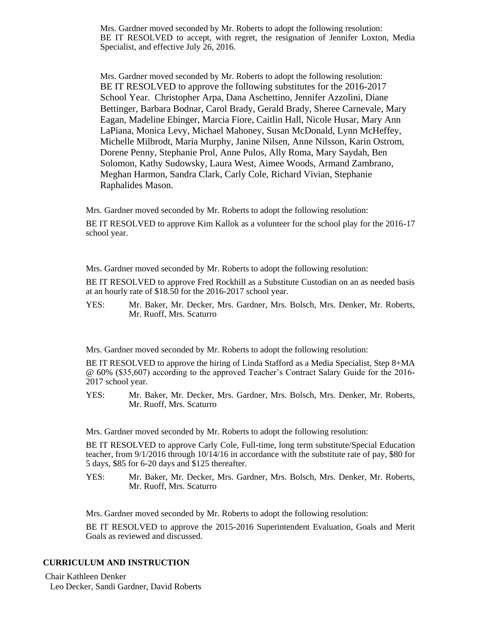Mrs. Gardner moved seconded by Mr. Roberts to adopt the following resolution: BE IT RESOLVED to accept, with regret, the resignation of Jennifer Loxton, Media Specialist, and effective July 26, 2016.

Mrs. Gardner moved seconded by Mr. Roberts to adopt the following resolution: BE IT RESOLVED to approve the following substitutes for the 2016-2017 School Year. Christopher Arpa, Dana Aschettino, Jennifer Azzolini, Diane Bettinger, Barbara Bodnar, Carol Brady, Gerald Brady, Sheree Carnevale, Mary Eagan, Madeline Ebinger, Marcia Fiore, Caitlin Hall, Nicole Husar, Mary Ann LaPiana, Monica Levy, Michael Mahoney, Susan McDonald, Lynn McHeffey, Michelle Milbrodt, Maria Murphy, Janine Nilsen, Anne Nilsson, Karin Ostrom, Dorene Penny, Stephanie Prol, Anne Pulos, Ally Roma, Mary Saydah, Ben Solomon, Kathy Sudowsky, Laura West, Aimee Woods, Armand Zambrano, Meghan Harmon, Sandra Clark, Carly Cole, Richard Vivian, Stephanie Raphalides Mason.

Mrs. Gardner moved seconded by Mr. Roberts to adopt the following resolution:

BE IT RESOLVED to approve Kim Kallok as a volunteer for the school play for the 2016-17 school year.

Mrs. Gardner moved seconded by Mr. Roberts to adopt the following resolution:

BE IT RESOLVED to approve Fred Rockhill as a Substitute Custodian on an as needed basis at an hourly rate of \$18.50 for the 2016-2017 school year.

YES: Mr. Baker, Mr. Decker, Mrs. Gardner, Mrs. Bolsch, Mrs. Denker, Mr. Roberts, Mr. Ruoff, Mrs. Scaturro

Mrs. Gardner moved seconded by Mr. Roberts to adopt the following resolution:

BE IT RESOLVED to approve the hiring of Linda Stafford as a Media Specialist, Step 8+MA @ 60% (\$35,607) according to the approved Teacher's Contract Salary Guide for the 2016- 2017 school year.

YES: Mr. Baker, Mr. Decker, Mrs. Gardner, Mrs. Bolsch, Mrs. Denker, Mr. Roberts, Mr. Ruoff, Mrs. Scaturro

Mrs. Gardner moved seconded by Mr. Roberts to adopt the following resolution:

BE IT RESOLVED to approve Carly Cole, Full-time, long term substitute/Special Education teacher, from 9/1/2016 through 10/14/16 in accordance with the substitute rate of pay, \$80 for 5 days, \$85 for 6-20 days and \$125 thereafter.

YES: Mr. Baker, Mr. Decker, Mrs. Gardner, Mrs. Bolsch, Mrs. Denker, Mr. Roberts, Mr. Ruoff, Mrs. Scaturro

Mrs. Gardner moved seconded by Mr. Roberts to adopt the following resolution:

BE IT RESOLVED to approve the 2015-2016 Superintendent Evaluation, Goals and Merit Goals as reviewed and discussed.

#### **CURRICULUM AND INSTRUCTION**

Chair Kathleen Denker Leo Decker, Sandi Gardner, David Roberts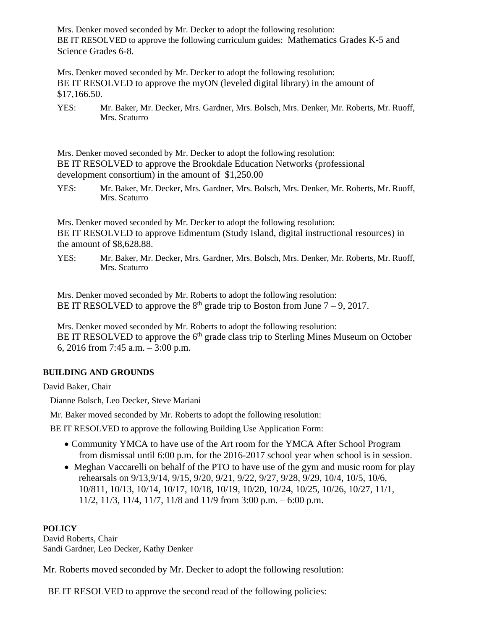Mrs. Denker moved seconded by Mr. Decker to adopt the following resolution: BE IT RESOLVED to approve the following curriculum guides: Mathematics Grades K-5 and Science Grades 6-8.

Mrs. Denker moved seconded by Mr. Decker to adopt the following resolution: BE IT RESOLVED to approve the myON (leveled digital library) in the amount of \$17,166.50.

YES: Mr. Baker, Mr. Decker, Mrs. Gardner, Mrs. Bolsch, Mrs. Denker, Mr. Roberts, Mr. Ruoff, Mrs. Scaturro

Mrs. Denker moved seconded by Mr. Decker to adopt the following resolution: BE IT RESOLVED to approve the Brookdale Education Networks (professional development consortium) in the amount of \$1,250.00

YES: Mr. Baker, Mr. Decker, Mrs. Gardner, Mrs. Bolsch, Mrs. Denker, Mr. Roberts, Mr. Ruoff, Mrs. Scaturro

Mrs. Denker moved seconded by Mr. Decker to adopt the following resolution: BE IT RESOLVED to approve Edmentum (Study Island, digital instructional resources) in the amount of \$8,628.88.

YES: Mr. Baker, Mr. Decker, Mrs. Gardner, Mrs. Bolsch, Mrs. Denker, Mr. Roberts, Mr. Ruoff, Mrs. Scaturro

Mrs. Denker moved seconded by Mr. Roberts to adopt the following resolution: BE IT RESOLVED to approve the  $8<sup>th</sup>$  grade trip to Boston from June  $7-9$ , 2017.

Mrs. Denker moved seconded by Mr. Roberts to adopt the following resolution: BE IT RESOLVED to approve the  $6<sup>th</sup>$  grade class trip to Sterling Mines Museum on October 6, 2016 from 7:45 a.m. – 3:00 p.m.

# **BUILDING AND GROUNDS**

David Baker, Chair

Dianne Bolsch, Leo Decker, Steve Mariani

Mr. Baker moved seconded by Mr. Roberts to adopt the following resolution:

BE IT RESOLVED to approve the following Building Use Application Form:

- Community YMCA to have use of the Art room for the YMCA After School Program from dismissal until 6:00 p.m. for the 2016-2017 school year when school is in session.
- Meghan Vaccarelli on behalf of the PTO to have use of the gym and music room for play rehearsals on 9/13,9/14, 9/15, 9/20, 9/21, 9/22, 9/27, 9/28, 9/29, 10/4, 10/5, 10/6, 10/811, 10/13, 10/14, 10/17, 10/18, 10/19, 10/20, 10/24, 10/25, 10/26, 10/27, 11/1, 11/2, 11/3, 11/4, 11/7, 11/8 and 11/9 from 3:00 p.m. – 6:00 p.m.

# **POLICY**

David Roberts, Chair Sandi Gardner, Leo Decker, Kathy Denker

Mr. Roberts moved seconded by Mr. Decker to adopt the following resolution:

BE IT RESOLVED to approve the second read of the following policies: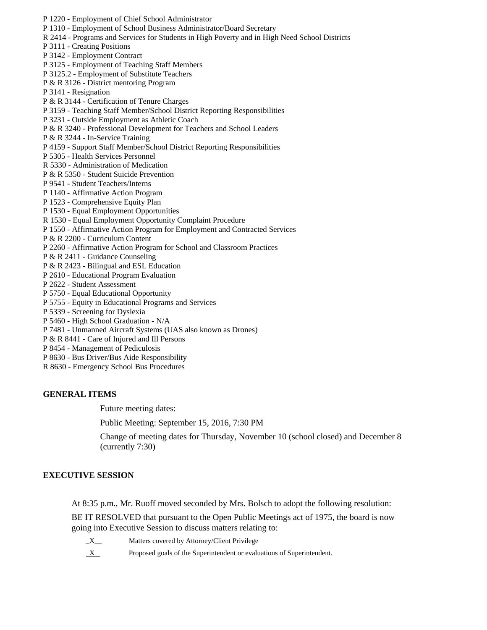- P 1220 Employment of Chief School Administrator
- P 1310 Employment of School Business Administrator/Board Secretary
- R 2414 Programs and Services for Students in High Poverty and in High Need School Districts
- P 3111 Creating Positions
- P 3142 Employment Contract
- P 3125 Employment of Teaching Staff Members
- P 3125.2 Employment of Substitute Teachers
- P & R 3126 District mentoring Program
- P 3141 Resignation
- P & R 3144 Certification of Tenure Charges
- P 3159 Teaching Staff Member/School District Reporting Responsibilities
- P 3231 Outside Employment as Athletic Coach
- P & R 3240 Professional Development for Teachers and School Leaders
- P & R 3244 In-Service Training
- P 4159 Support Staff Member/School District Reporting Responsibilities
- P 5305 Health Services Personnel
- R 5330 Administration of Medication
- P & R 5350 Student Suicide Prevention
- P 9541 Student Teachers/Interns
- P 1140 Affirmative Action Program
- P 1523 Comprehensive Equity Plan
- P 1530 Equal Employment Opportunities
- R 1530 Equal Employment Opportunity Complaint Procedure
- P 1550 Affirmative Action Program for Employment and Contracted Services
- P & R 2200 Curriculum Content
- P 2260 Affirmative Action Program for School and Classroom Practices
- P & R 2411 Guidance Counseling
- P & R 2423 Bilingual and ESL Education
- P 2610 Educational Program Evaluation
- P 2622 Student Assessment
- P 5750 Equal Educational Opportunity
- P 5755 Equity in Educational Programs and Services
- P 5339 Screening for Dyslexia
- P 5460 High School Graduation N/A
- P 7481 Unmanned Aircraft Systems (UAS also known as Drones)
- P & R 8441 Care of Injured and Ill Persons
- P 8454 Management of Pediculosis
- P 8630 Bus Driver/Bus Aide Responsibility
- R 8630 Emergency School Bus Procedures

# **GENERAL ITEMS**

Future meeting dates:

Public Meeting: September 15, 2016, 7:30 PM

Change of meeting dates for Thursday, November 10 (school closed) and December 8 (currently 7:30)

# **EXECUTIVE SESSION**

At 8:35 p.m., Mr. Ruoff moved seconded by Mrs. Bolsch to adopt the following resolution:

BE IT RESOLVED that pursuant to the Open Public Meetings act of 1975, the board is now going into Executive Session to discuss matters relating to:

- \_X\_\_ Matters covered by Attorney/Client Privilege
- X Proposed goals of the Superintendent or evaluations of Superintendent.